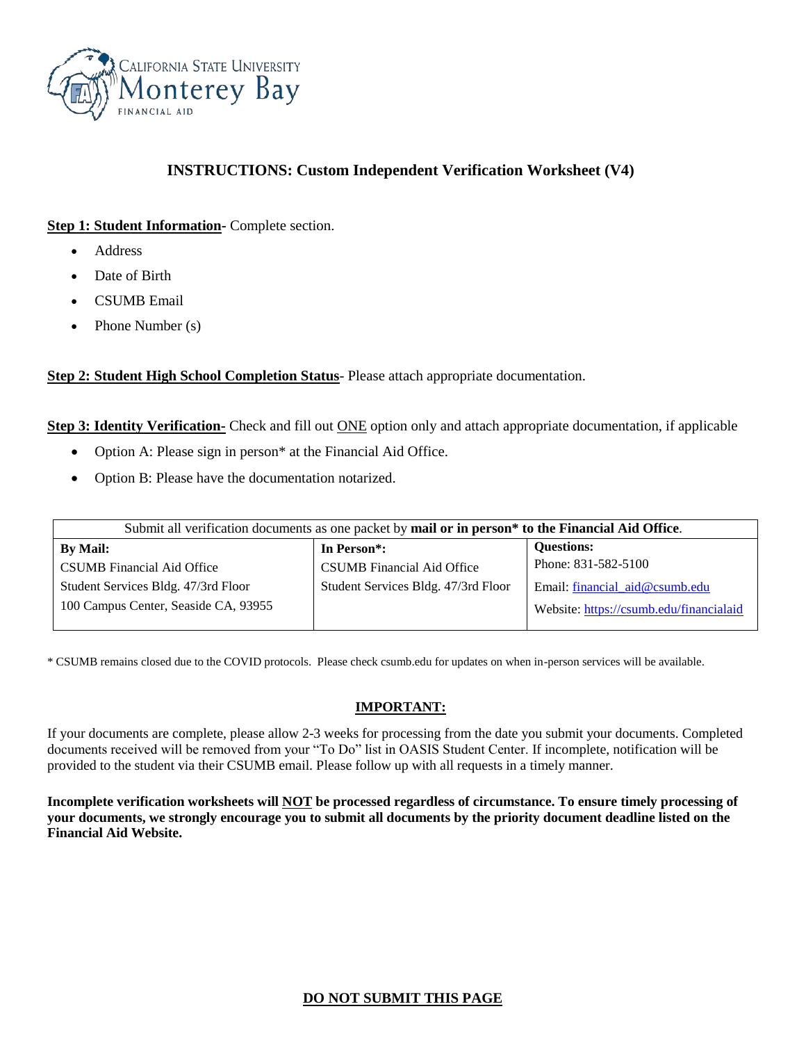

# **INSTRUCTIONS: Custom Independent Verification Worksheet (V4)**

### **Step 1: Student Information-** Complete section.

- Address
- Date of Birth
- CSUMB Email
- Phone Number (s)

**Step 2: Student High School Completion Status**- Please attach appropriate documentation.

**Step 3: Identity Verification-** Check and fill out ONE option only and attach appropriate documentation, if applicable

- Option A: Please sign in person\* at the Financial Aid Office.
- Option B: Please have the documentation notarized.

| Submit all verification documents as one packet by mail or in person* to the Financial Aid Office. |                                     |                                         |  |
|----------------------------------------------------------------------------------------------------|-------------------------------------|-----------------------------------------|--|
| <b>By Mail:</b>                                                                                    | In Person <sup>*</sup> :            | <b>Questions:</b>                       |  |
| <b>CSUMB</b> Financial Aid Office                                                                  | <b>CSUMB</b> Financial Aid Office   | Phone: 831-582-5100                     |  |
| Student Services Bldg. 47/3rd Floor                                                                | Student Services Bldg. 47/3rd Floor | Email: financial_aid@csumb.edu          |  |
| 100 Campus Center, Seaside CA, 93955                                                               |                                     | Website: https://csumb.edu/financialaid |  |

\* CSUMB remains closed due to the COVID protocols. Please check csumb.edu for updates on when in-person services will be available.

#### **IMPORTANT:**

If your documents are complete, please allow 2-3 weeks for processing from the date you submit your documents. Completed documents received will be removed from your "To Do" list in OASIS Student Center. If incomplete, notification will be provided to the student via their CSUMB email. Please follow up with all requests in a timely manner.

**Incomplete verification worksheets will NOT be processed regardless of circumstance. To ensure timely processing of your documents, we strongly encourage you to submit all documents by the priority document deadline listed on the Financial Aid Website.**

## **DO NOT SUBMIT THIS PAGE**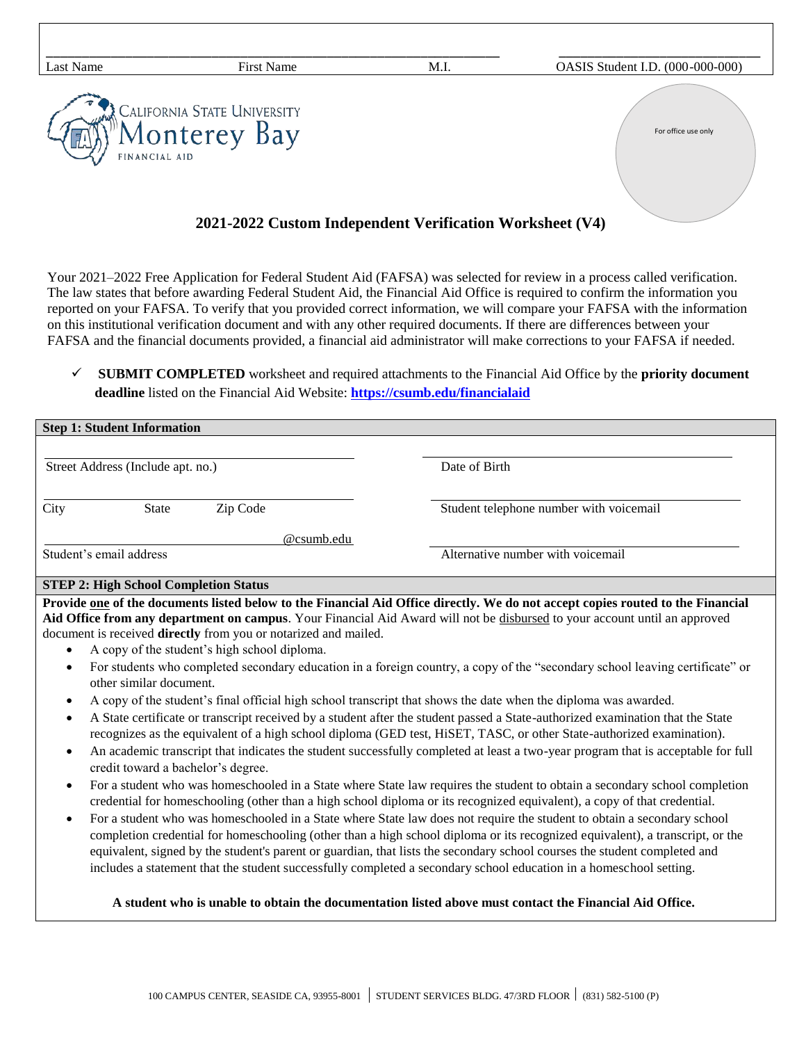| Last Name     | <b>First Name</b>                                        | M.I. | <b>OASIS Student I.D. (000-000-000)</b> |
|---------------|----------------------------------------------------------|------|-----------------------------------------|
| FINANCIAL AID | <b>EXALIFORNIA STATE UNIVERSITY</b><br>Monterey Bay      |      | For office use only                     |
|               | 2021-2022 Custom Independent Verification Worksheet (V4) |      |                                         |

Your 2021–2022 Free Application for Federal Student Aid (FAFSA) was selected for review in a process called verification. The law states that before awarding Federal Student Aid, the Financial Aid Office is required to confirm the information you reported on your FAFSA. To verify that you provided correct information, we will compare your FAFSA with the information on this institutional verification document and with any other required documents. If there are differences between your FAFSA and the financial documents provided, a financial aid administrator will make corrections to your FAFSA if needed.

✓ **SUBMIT COMPLETED** worksheet and required attachments to the Financial Aid Office by the **priority document deadline** listed on the Financial Aid Website: **<https://csumb.edu/financialaid>**

| <b>Step 1: Student Information</b>           |                                         |  |  |
|----------------------------------------------|-----------------------------------------|--|--|
|                                              |                                         |  |  |
| Street Address (Include apt. no.)            | Date of Birth                           |  |  |
| City<br>Zip Code<br><b>State</b>             | Student telephone number with voicemail |  |  |
| @csumb.edu                                   |                                         |  |  |
| Student's email address                      | Alternative number with voicemail       |  |  |
| <b>STEP 2: High School Completion Status</b> |                                         |  |  |

**Provide one of the documents listed below to the Financial Aid Office directly. We do not accept copies routed to the Financial Aid Office from any department on campus**. Your Financial Aid Award will not be disbursed to your account until an approved document is received **directly** from you or notarized and mailed.

- A copy of the student's high school diploma.
- For students who completed secondary education in a foreign country, a copy of the "secondary school leaving certificate" or other similar document.
- A copy of the student's final official high school transcript that shows the date when the diploma was awarded.
- A State certificate or transcript received by a student after the student passed a State-authorized examination that the State recognizes as the equivalent of a high school diploma (GED test, HiSET, TASC, or other State-authorized examination).
- An academic transcript that indicates the student successfully completed at least a two-year program that is acceptable for full credit toward a bachelor's degree.
- For a student who was homeschooled in a State where State law requires the student to obtain a secondary school completion credential for homeschooling (other than a high school diploma or its recognized equivalent), a copy of that credential.
- For a student who was homeschooled in a State where State law does not require the student to obtain a secondary school completion credential for homeschooling (other than a high school diploma or its recognized equivalent), a transcript, or the equivalent, signed by the student's parent or guardian, that lists the secondary school courses the student completed and includes a statement that the student successfully completed a secondary school education in a homeschool setting.

## **A student who is unable to obtain the documentation listed above must contact the Financial Aid Office.**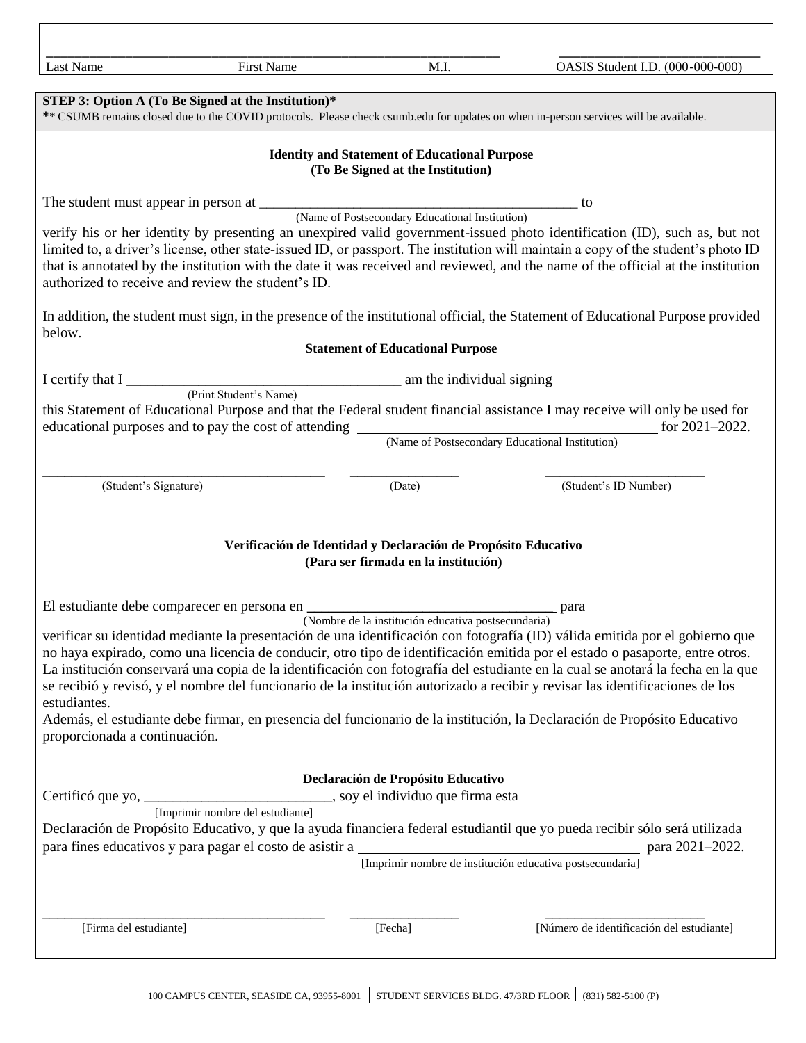| Last Name                                                                                                                                                                                                                                                                                                                                                                                                                                                                                                                                                                                                                                                                                                                                                                                                                                                                                                                                                                                                      | First Name                                                                                                                                                                                                     | M.I.                                                                                      | OASIS Student I.D. (000-000-000)                                                                                                     |
|----------------------------------------------------------------------------------------------------------------------------------------------------------------------------------------------------------------------------------------------------------------------------------------------------------------------------------------------------------------------------------------------------------------------------------------------------------------------------------------------------------------------------------------------------------------------------------------------------------------------------------------------------------------------------------------------------------------------------------------------------------------------------------------------------------------------------------------------------------------------------------------------------------------------------------------------------------------------------------------------------------------|----------------------------------------------------------------------------------------------------------------------------------------------------------------------------------------------------------------|-------------------------------------------------------------------------------------------|--------------------------------------------------------------------------------------------------------------------------------------|
|                                                                                                                                                                                                                                                                                                                                                                                                                                                                                                                                                                                                                                                                                                                                                                                                                                                                                                                                                                                                                |                                                                                                                                                                                                                |                                                                                           |                                                                                                                                      |
|                                                                                                                                                                                                                                                                                                                                                                                                                                                                                                                                                                                                                                                                                                                                                                                                                                                                                                                                                                                                                | STEP 3: Option A (To Be Signed at the Institution)*                                                                                                                                                            |                                                                                           | ** CSUMB remains closed due to the COVID protocols. Please check csumb.edu for updates on when in-person services will be available. |
|                                                                                                                                                                                                                                                                                                                                                                                                                                                                                                                                                                                                                                                                                                                                                                                                                                                                                                                                                                                                                |                                                                                                                                                                                                                | <b>Identity and Statement of Educational Purpose</b><br>(To Be Signed at the Institution) |                                                                                                                                      |
| to<br>verify his or her identity by presenting an unexpired valid government-issued photo identification (ID), such as, but not<br>limited to, a driver's license, other state-issued ID, or passport. The institution will maintain a copy of the student's photo ID<br>that is annotated by the institution with the date it was received and reviewed, and the name of the official at the institution<br>authorized to receive and review the student's ID.                                                                                                                                                                                                                                                                                                                                                                                                                                                                                                                                                |                                                                                                                                                                                                                |                                                                                           |                                                                                                                                      |
| below.                                                                                                                                                                                                                                                                                                                                                                                                                                                                                                                                                                                                                                                                                                                                                                                                                                                                                                                                                                                                         |                                                                                                                                                                                                                |                                                                                           | In addition, the student must sign, in the presence of the institutional official, the Statement of Educational Purpose provided     |
|                                                                                                                                                                                                                                                                                                                                                                                                                                                                                                                                                                                                                                                                                                                                                                                                                                                                                                                                                                                                                |                                                                                                                                                                                                                | <b>Statement of Educational Purpose</b>                                                   |                                                                                                                                      |
|                                                                                                                                                                                                                                                                                                                                                                                                                                                                                                                                                                                                                                                                                                                                                                                                                                                                                                                                                                                                                |                                                                                                                                                                                                                |                                                                                           |                                                                                                                                      |
|                                                                                                                                                                                                                                                                                                                                                                                                                                                                                                                                                                                                                                                                                                                                                                                                                                                                                                                                                                                                                | (Print Student's Name)<br>this Statement of Educational Purpose and that the Federal student financial assistance I may receive will only be used for<br>educational purposes and to pay the cost of attending |                                                                                           |                                                                                                                                      |
|                                                                                                                                                                                                                                                                                                                                                                                                                                                                                                                                                                                                                                                                                                                                                                                                                                                                                                                                                                                                                |                                                                                                                                                                                                                |                                                                                           | $for 2021-2022.$ (Name of Postsecondary Educational Institution)                                                                     |
|                                                                                                                                                                                                                                                                                                                                                                                                                                                                                                                                                                                                                                                                                                                                                                                                                                                                                                                                                                                                                |                                                                                                                                                                                                                |                                                                                           |                                                                                                                                      |
| (Student's Signature)                                                                                                                                                                                                                                                                                                                                                                                                                                                                                                                                                                                                                                                                                                                                                                                                                                                                                                                                                                                          |                                                                                                                                                                                                                | (Date)                                                                                    | (Student's ID Number)                                                                                                                |
| Verificación de Identidad y Declaración de Propósito Educativo<br>(Para ser firmada en la institución)                                                                                                                                                                                                                                                                                                                                                                                                                                                                                                                                                                                                                                                                                                                                                                                                                                                                                                         |                                                                                                                                                                                                                |                                                                                           |                                                                                                                                      |
| El estudiante debe comparecer en persona en el proporcional de la contradición de la contradición de la contradición de la contradición de la contradición de la contradición de la contradición de la contradición de la cont<br>para<br>(Nombre de la institución educativa postsecundaria)<br>verificar su identidad mediante la presentación de una identificación con fotografía (ID) válida emitida por el gobierno que<br>no haya expirado, como una licencia de conducir, otro tipo de identificación emitida por el estado o pasaporte, entre otros.<br>La institución conservará una copia de la identificación con fotografía del estudiante en la cual se anotará la fecha en la que<br>se recibió y revisó, y el nombre del funcionario de la institución autorizado a recibir y revisar las identificaciones de los<br>estudiantes.<br>Además, el estudiante debe firmar, en presencia del funcionario de la institución, la Declaración de Propósito Educativo<br>proporcionada a continuación. |                                                                                                                                                                                                                |                                                                                           |                                                                                                                                      |
| Declaración de Propósito Educativo<br>Certificó que yo, ______________________________, soy el individuo que firma esta<br>[Imprimir nombre del estudiante]<br>Declaración de Propósito Educativo, y que la ayuda financiera federal estudiantil que yo pueda recibir sólo será utilizada<br>para 2021-2022.<br>[Imprimir nombre de institución educativa postsecundaria]                                                                                                                                                                                                                                                                                                                                                                                                                                                                                                                                                                                                                                      |                                                                                                                                                                                                                |                                                                                           |                                                                                                                                      |
| [Firma del estudiante]                                                                                                                                                                                                                                                                                                                                                                                                                                                                                                                                                                                                                                                                                                                                                                                                                                                                                                                                                                                         |                                                                                                                                                                                                                | [Fecha]                                                                                   | [Número de identificación del estudiante]                                                                                            |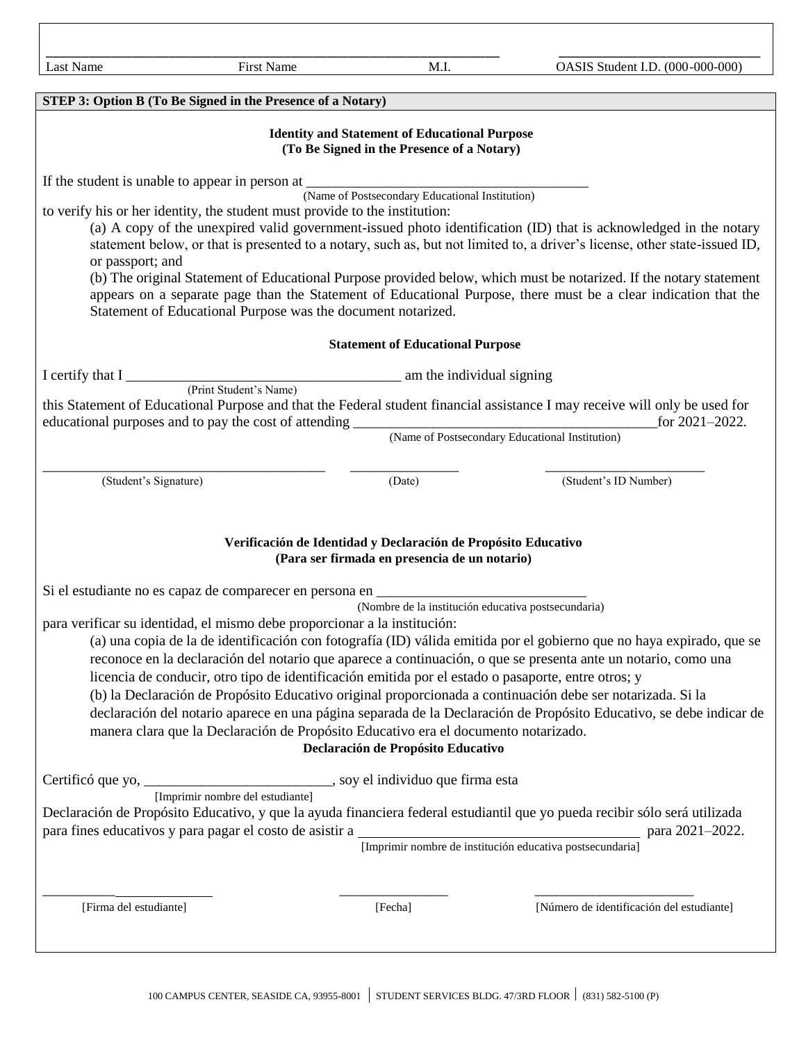| Last Name                                                                                                                                                                                                                                                                                                                                                                                                                                                                                                                                                                                                                                                                                                                                                                                                                                                                                                                                | <b>First Name</b>                                                                                  | M.I.                                    | OASIS Student I.D. (000-000-000)          |  |
|------------------------------------------------------------------------------------------------------------------------------------------------------------------------------------------------------------------------------------------------------------------------------------------------------------------------------------------------------------------------------------------------------------------------------------------------------------------------------------------------------------------------------------------------------------------------------------------------------------------------------------------------------------------------------------------------------------------------------------------------------------------------------------------------------------------------------------------------------------------------------------------------------------------------------------------|----------------------------------------------------------------------------------------------------|-----------------------------------------|-------------------------------------------|--|
|                                                                                                                                                                                                                                                                                                                                                                                                                                                                                                                                                                                                                                                                                                                                                                                                                                                                                                                                          |                                                                                                    |                                         |                                           |  |
|                                                                                                                                                                                                                                                                                                                                                                                                                                                                                                                                                                                                                                                                                                                                                                                                                                                                                                                                          | STEP 3: Option B (To Be Signed in the Presence of a Notary)                                        |                                         |                                           |  |
|                                                                                                                                                                                                                                                                                                                                                                                                                                                                                                                                                                                                                                                                                                                                                                                                                                                                                                                                          | <b>Identity and Statement of Educational Purpose</b><br>(To Be Signed in the Presence of a Notary) |                                         |                                           |  |
| If the student is unable to appear in person at _<br>(Name of Postsecondary Educational Institution)<br>to verify his or her identity, the student must provide to the institution:<br>(a) A copy of the unexpired valid government-issued photo identification (ID) that is acknowledged in the notary<br>statement below, or that is presented to a notary, such as, but not limited to, a driver's license, other state-issued ID,<br>or passport; and<br>(b) The original Statement of Educational Purpose provided below, which must be notarized. If the notary statement<br>appears on a separate page than the Statement of Educational Purpose, there must be a clear indication that the<br>Statement of Educational Purpose was the document notarized.                                                                                                                                                                       |                                                                                                    |                                         |                                           |  |
|                                                                                                                                                                                                                                                                                                                                                                                                                                                                                                                                                                                                                                                                                                                                                                                                                                                                                                                                          |                                                                                                    | <b>Statement of Educational Purpose</b> |                                           |  |
| I certify that I (Print Student's Name) am the individual signing<br>this Statement of Educational Purpose and that the Federal student financial assistance I may receive will only be used for<br>for 2021-2022.                                                                                                                                                                                                                                                                                                                                                                                                                                                                                                                                                                                                                                                                                                                       |                                                                                                    |                                         |                                           |  |
|                                                                                                                                                                                                                                                                                                                                                                                                                                                                                                                                                                                                                                                                                                                                                                                                                                                                                                                                          |                                                                                                    |                                         |                                           |  |
| (Student's Signature)                                                                                                                                                                                                                                                                                                                                                                                                                                                                                                                                                                                                                                                                                                                                                                                                                                                                                                                    |                                                                                                    | (Date)                                  | (Student's ID Number)                     |  |
| Verificación de Identidad y Declaración de Propósito Educativo<br>(Para ser firmada en presencia de un notario)                                                                                                                                                                                                                                                                                                                                                                                                                                                                                                                                                                                                                                                                                                                                                                                                                          |                                                                                                    |                                         |                                           |  |
| Si el estudiante no es capaz de comparecer en persona en _______________________<br>(Nombre de la institución educativa postsecundaria)<br>para verificar su identidad, el mismo debe proporcionar a la institución:<br>(a) una copia de la de identificación con fotografía (ID) válida emitida por el gobierno que no haya expirado, que se<br>reconoce en la declaración del notario que aparece a continuación, o que se presenta ante un notario, como una<br>licencia de conducir, otro tipo de identificación emitida por el estado o pasaporte, entre otros; y<br>(b) la Declaración de Propósito Educativo original proporcionada a continuación debe ser notarizada. Si la<br>declaración del notario aparece en una página separada de la Declaración de Propósito Educativo, se debe indicar de<br>manera clara que la Declaración de Propósito Educativo era el documento notarizado.<br>Declaración de Propósito Educativo |                                                                                                    |                                         |                                           |  |
| Declaración de Propósito Educativo, y que la ayuda financiera federal estudiantil que yo pueda recibir sólo será utilizada<br>para fines educativos y para pagar el costo de asistir a <i>[Imprimir nombre de institución educativa postsecundaria]</i><br>para 2021-2022.                                                                                                                                                                                                                                                                                                                                                                                                                                                                                                                                                                                                                                                               |                                                                                                    |                                         |                                           |  |
| [Firma del estudiante]                                                                                                                                                                                                                                                                                                                                                                                                                                                                                                                                                                                                                                                                                                                                                                                                                                                                                                                   |                                                                                                    | [Fecha]                                 | [Número de identificación del estudiante] |  |